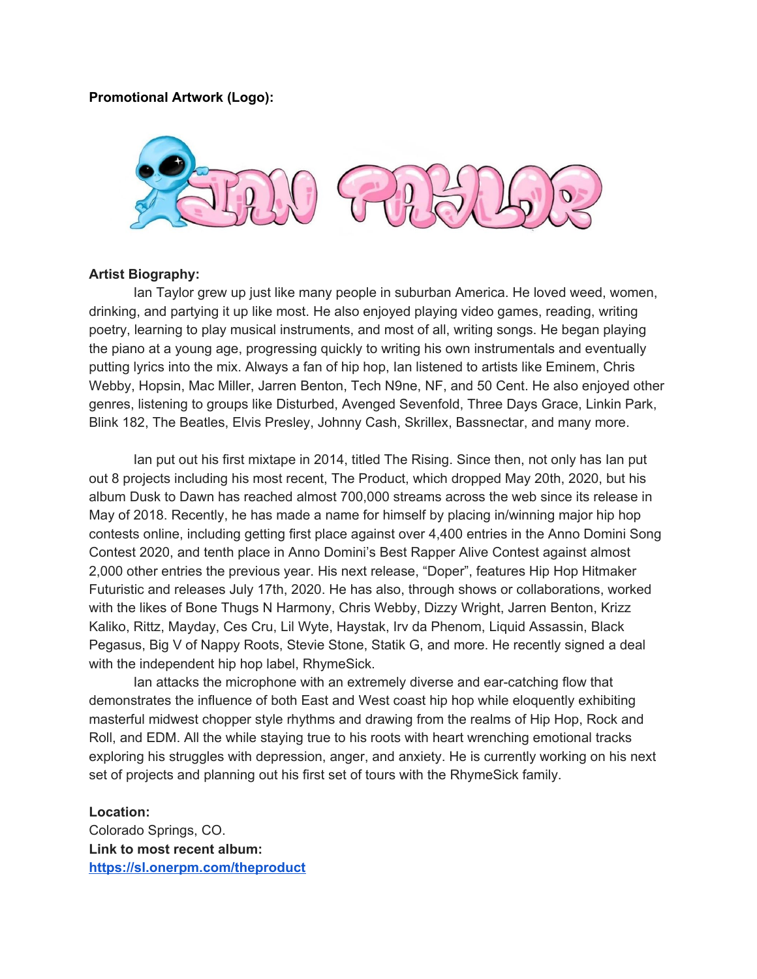## **Promotional Artwork (Logo):**



## **Artist Biography:**

Ian Taylor grew up just like many people in suburban America. He loved weed, women, drinking, and partying it up like most. He also enjoyed playing video games, reading, writing poetry, learning to play musical instruments, and most of all, writing songs. He began playing the piano at a young age, progressing quickly to writing his own instrumentals and eventually putting lyrics into the mix. Always a fan of hip hop, Ian listened to artists like Eminem, Chris Webby, Hopsin, Mac Miller, Jarren Benton, Tech N9ne, NF, and 50 Cent. He also enjoyed other genres, listening to groups like Disturbed, Avenged Sevenfold, Three Days Grace, Linkin Park, Blink 182, The Beatles, Elvis Presley, Johnny Cash, Skrillex, Bassnectar, and many more.

Ian put out his first mixtape in 2014, titled The Rising. Since then, not only has Ian put out 8 projects including his most recent, The Product, which dropped May 20th, 2020, but his album Dusk to Dawn has reached almost 700,000 streams across the web since its release in May of 2018. Recently, he has made a name for himself by placing in/winning major hip hop contests online, including getting first place against over 4,400 entries in the Anno Domini Song Contest 2020, and tenth place in Anno Domini's Best Rapper Alive Contest against almost 2,000 other entries the previous year. His next release, "Doper", features Hip Hop Hitmaker Futuristic and releases July 17th, 2020. He has also, through shows or collaborations, worked with the likes of Bone Thugs N Harmony, Chris Webby, Dizzy Wright, Jarren Benton, Krizz Kaliko, Rittz, Mayday, Ces Cru, Lil Wyte, Haystak, Irv da Phenom, Liquid Assassin, Black Pegasus, Big V of Nappy Roots, Stevie Stone, Statik G, and more. He recently signed a deal with the independent hip hop label, RhymeSick.

Ian attacks the microphone with an extremely diverse and ear-catching flow that demonstrates the influence of both East and West coast hip hop while eloquently exhibiting masterful midwest chopper style rhythms and drawing from the realms of Hip Hop, Rock and Roll, and EDM. All the while staying true to his roots with heart wrenching emotional tracks exploring his struggles with depression, anger, and anxiety. He is currently working on his next set of projects and planning out his first set of tours with the RhymeSick family.

## **Location:**

Colorado Springs, CO. **Link to most recent album: <https://sl.onerpm.com/theproduct>**